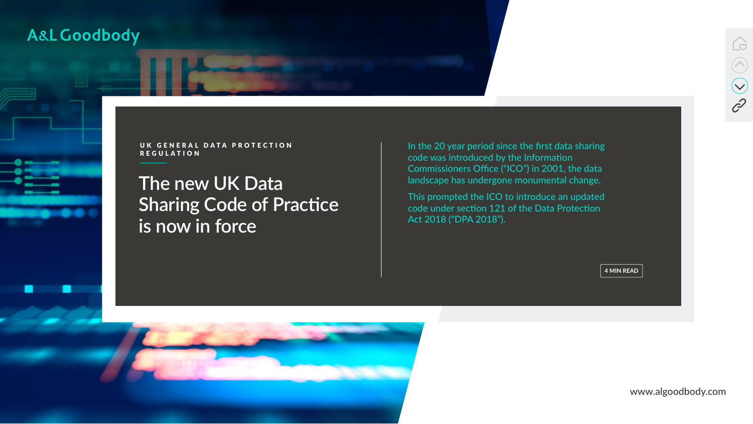# A&L Goodbody

# UK GENERAL DATA PROTECTION<br>REGULATION

[www.algoodbody.com](https://www.algoodbody.com/)



# **The new UK Data Sharing Code of Practice is now in force**

In the 20 year period since the first data sharing code was introduced by the Information Commissioners Office ("ICO") in 2001, the data landscape has undergone monumental change.

This prompted the ICO to introduce an updated code under section 121 of the Data Protection Act 2018 ("DPA 2018").

**4 MIN READ**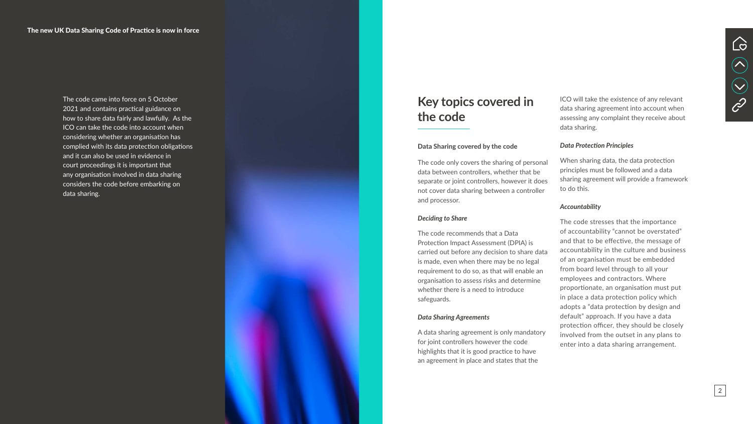The code came into force on 5 October 2021 and contains practical guidance on how to share data fairly and lawfully. As the ICO can take the code into account when considering whether an organisation has complied with its data protection obligations and it can also be used in evidence in court proceedings it is important that any organisation involved in data sharing considers the code before embarking on data sharing.



# **Key topics covered in the code**

### Data Sharing covered by the code

The code only covers the sharing of personal data between controllers, whether that be separate or joint controllers, however it does not cover data sharing between a controller and processor.

#### *Deciding to Share*

The code recommends that a Data Protection Impact Assessment (DPIA) is carried out before any decision to share data is made, even when there may be no legal requirement to do so, as that will enable an organisation to assess risks and determine whether there is a need to introduce safeguards.

### *Data Sharing Agreements*

A data sharing agreement is only mandatory for joint controllers however the code highlights that it is good practice to have an agreement in place and states that the

ICO will take the existence of any relevant data sharing agreement into account when assessing any complaint they receive about data sharing.

#### *Data Protection Principles*

When sharing data, the data protection principles must be followed and a data sharing agreement will provide a framework to do this.

#### *Accountability*

The code stresses that the importance of accountability "cannot be overstated" and that to be effective, the message of accountability in the culture and business of an organisation must be embedded from board level through to all your employees and contractors. Where proportionate, an organisation must put in place a data protection policy which adopts a "data protection by design and default" approach. If you have a data protection officer, they should be closely involved from the outset in any plans to enter into a data sharing arrangement.



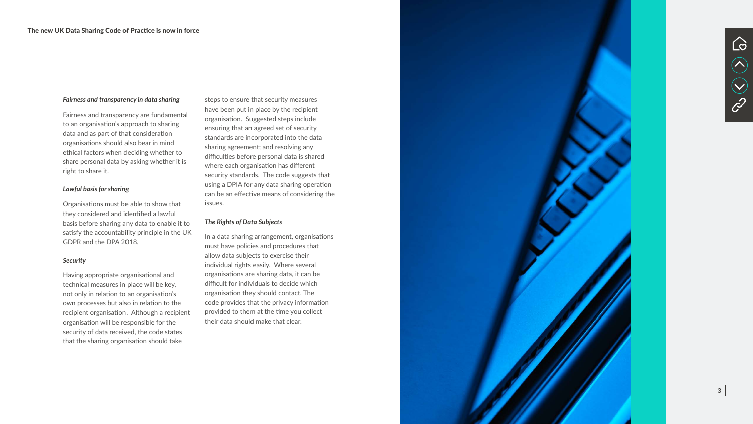### *Fairness and transparency in data sharing*

Fairness and transparency are fundamental to an organisation's approach to sharing data and as part of that consideration organisations should also bear in mind ethical factors when deciding whether to share personal data by asking whether it is right to share it.

# *Lawful basis for sharing*

Organisations must be able to show that they considered and identified a lawful basis before sharing any data to enable it to satisfy the accountability principle in the UK GDPR and the DPA 2018.

### *Security*

Having appropriate organisational and technical measures in place will be key, not only in relation to an organisation's own processes but also in relation to the recipient organisation. Although a recipient organisation will be responsible for the security of data received, the code states that the sharing organisation should take

steps to ensure that security measures have been put in place by the recipient organisation. Suggested steps include ensuring that an agreed set of security standards are incorporated into the data sharing agreement; and resolving any difficulties before personal data is shared where each organisation has different security standards. The code suggests that using a DPIA for any data sharing operation can be an effective means of considering the issues.

## *The Rights of Data Subjects*

In a data sharing arrangement, organisations must have policies and procedures that allow data subjects to exercise their individual rights easily. Where several organisations are sharing data, it can be difficult for individuals to decide which organisation they should contact. The code provides that the privacy information provided to them at the time you collect their data should make that clear.





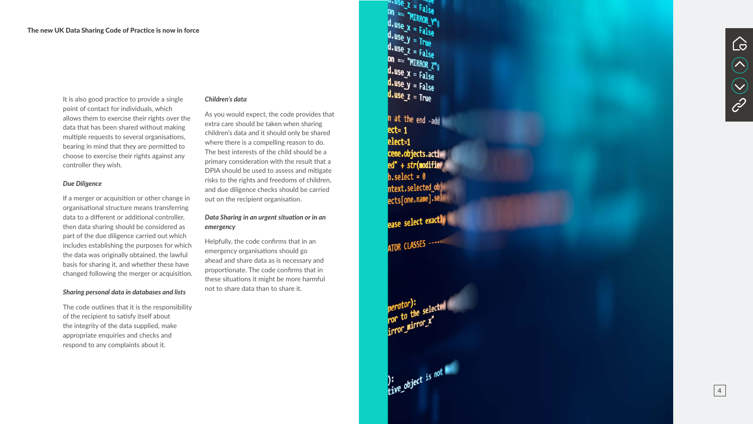It is also good practice to provide a single point of contact for individuals, which allows them to exercise their rights over the data that has been shared without making multiple requests to several organisations, bearing in mind that they are permitted to choose to exercise their rights against any controller they wish.

## *Due Diligence*

If a merger or acquisition or other change in organisational structure means transferring data to a different or additional controller, then data sharing should be considered as part of the due diligence carried out which includes establishing the purposes for which the data was originally obtained, the lawful basis for sharing it, and whether these have changed following the merger or acquisition.

### *Sharing personal data in databases and lists*

The code outlines that it is the responsibility of the recipient to satisfy itself about the integrity of the data supplied, make appropriate enquiries and checks and respond to any complaints about it.

## *Children's data*

As you would expect, the code provides that extra care should be taken when sharing children's data and it should only be shared where there is a compelling reason to do. The best interests of the child should be a primary consideration with the result that a DPIA should be used to assess and mitigate risks to the rights and freedoms of children, and due diligence checks should be carried out on the recipient organisation.

# *Data Sharing in an urgent situation or in an emergency*

Helpfully, the code confirms that in an emergency organisations should go ahead and share data as is necessary and proportionate. The code confirms that in these situations it might be more harmful not to share data than to share it.

a.use z = False<br>on == "MIRROR\_Y"  $d.\text{Use } x = \text{False}$ <br>d.use  $v = \text{False}$  $d.\text{use } y = \text{True}$ <br>d.use\_z = False  $\begin{array}{rcl}\n\hline\n\text{on} & = & \text{MIRROR} & \text{Z}^*\text{ }\n\end{array}$  $d.\text{use } x = \text{False}$ <br> $d.\text{use } y = \text{False}$  $d$ .use\_z = True n at the end -add  $ect=1$  $elect=1$ cene.objects.active  $ed" + str(modifier)$  $b. select = 0$ ntext.selected\_ob ects[one.name].se ease select exactly ATOR CLASSES perator):<br>ror to the selected<br>irror\_mirror\_x"  $\begin{cases}\n\text{:} \\
\text{tive\_object} \\
\text{if } \\
\text{tive}\n\end{cases}$